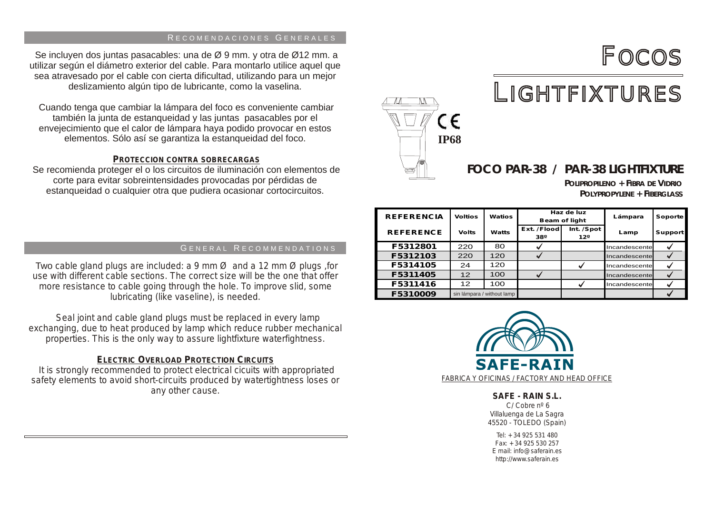### RECOMENDACIONES GENERALES

Se incluyen dos juntas pasacables: una de Ø 9 mm. y otra de Ø12 mm. a utilizar según el diámetro exterior del cable. Para montarlo utilice aquel que sea atravesado por el cable con cierta dificultad, utilizando para un mejor deslizamiento algún tipo de lubricante, como la vaselina.

Cuando tenga que cambiar la lámpara del foco es conveniente cambiar también la junta de estanqueidad y las juntas pasacables por el envejecimiento que el calor de lámpara haya podido provocar en estos elementos. Sólo así se garantiza la estanqueidad del foco.

### **PROTECCION CONTRA SOBRECARGAS**

Se recomienda proteger el o los circuitos de iluminación con elementos de corte para evitar sobreintensidades provocadas por pérdidas de estanqueidad o cualquier otra que pudiera ocasionar cortocircuitos.

### GENERAL RECOMMENDATIONS

Two *cable gland plugs are included: a 9 mm Ø and a 12 mm Ø plugs ,for use with different cable sections. The correct size will be the one that offer more resistance to cable going through the hole. To improve slid, some lubricating (like vaseline), is needed.*

 *Seal joint and cable gland plugs must be replaced in every lamp exchanging, due to heat produced by lamp which reduce rubber mechanical properties. This is the only way to assure lightfixture waterfightness.*

### *ELECTRIC OVERLOAD PROTECTION CIRCUITS*

*It is strongly recommended to protect electrical cicuits with appropriated safety elements to avoid short-circuits produced by watertightness loses or any other cause.*



# LIGHTFIXTURES

## **FOCO PAR-38 /** *PAR-38 LIGHTFIXTURE*

*POLIPROPILENO + FIBRA DE VIDRIO POLYPROPYLENE + FIBERGLASS*

FOCOS

| <b>REFERENCIA</b> | <b>Voltios</b>             | <b>Watios</b> | Haz de luz<br><b>Beam of light</b> |                                | Lámpara       | <b>Soporte</b> |
|-------------------|----------------------------|---------------|------------------------------------|--------------------------------|---------------|----------------|
| <b>REFERENCE</b>  | <b>Volts</b>               | Watts         | Ext. / Flood<br>38°                | Int. / Spot<br>12 <sup>o</sup> | Lamp          | <b>Support</b> |
| F5312801          | 220                        | 80            |                                    |                                | Incandescente |                |
| F5312103          | 220                        | 120           |                                    |                                | Incandescente |                |
| F5314105          | 24                         | 120           |                                    |                                | Incandescente |                |
| F5311405          | 12                         | 100           |                                    |                                | Incandescente |                |
| F5311416          | $12 \overline{ }$          | 100           |                                    |                                | Incandescente |                |
| F5310009          | sin lámpara / without lamp |               |                                    |                                |               |                |



### **SAFE - RAIN S.L.**

C/ Cobre nº 6 Villaluenga de La Sagra 45520 - TOLEDO (Spain)

Tel: +34 925 531 480  $Fax: +34925530257$ E mail: info@saferain.es http://www.saferain.es